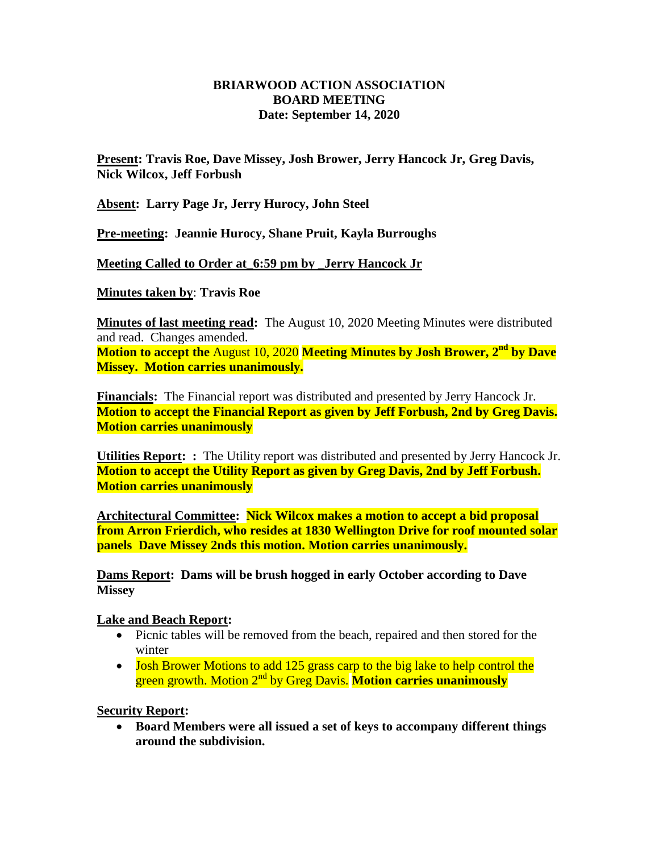## **BRIARWOOD ACTION ASSOCIATION BOARD MEETING Date: September 14, 2020**

**Present: Travis Roe, Dave Missey, Josh Brower, Jerry Hancock Jr, Greg Davis, Nick Wilcox, Jeff Forbush**

**Absent: Larry Page Jr, Jerry Hurocy, John Steel**

**Pre-meeting: Jeannie Hurocy, Shane Pruit, Kayla Burroughs**

**Meeting Called to Order at\_6:59 pm by \_Jerry Hancock Jr**

**Minutes taken by**: **Travis Roe**

**Minutes of last meeting read:** The August 10, 2020 Meeting Minutes were distributed and read. Changes amended.

**Motion to accept the** August 10, 2020 **Meeting Minutes by Josh Brower, 2nd by Dave Missey. Motion carries unanimously.**

**Financials:** The Financial report was distributed and presented by Jerry Hancock Jr. **Motion to accept the Financial Report as given by Jeff Forbush, 2nd by Greg Davis. Motion carries unanimously** 

**Utilities Report: :** The Utility report was distributed and presented by Jerry Hancock Jr. **Motion to accept the Utility Report as given by Greg Davis, 2nd by Jeff Forbush. Motion carries unanimously** 

**Architectural Committee: Nick Wilcox makes a motion to accept a bid proposal from Arron Frierdich, who resides at 1830 Wellington Drive for roof mounted solar panels Dave Missey 2nds this motion. Motion carries unanimously.**

**Dams Report: Dams will be brush hogged in early October according to Dave Missey**

## **Lake and Beach Report:**

- Picnic tables will be removed from the beach, repaired and then stored for the winter
- Josh Brower Motions to add 125 grass carp to the big lake to help control the green growth. Motion 2nd by Greg Davis. **Motion carries unanimously**

**Security Report:** 

 **Board Members were all issued a set of keys to accompany different things around the subdivision.**